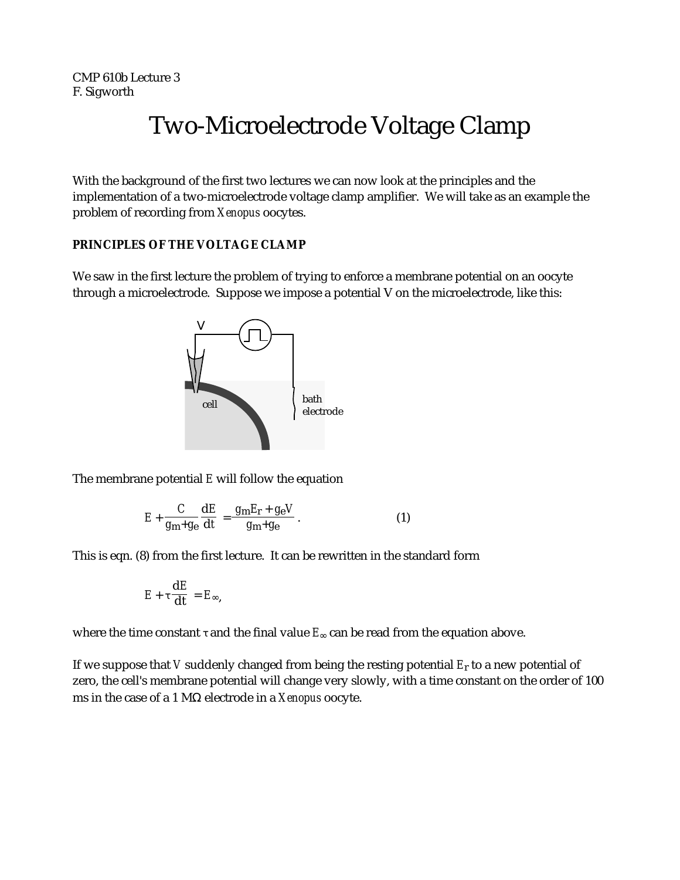CMP 610b Lecture 3 F. Sigworth

# Two-Microelectrode Voltage Clamp

With the background of the first two lectures we can now look at the principles and the implementation of a two-microelectrode voltage clamp amplifier. We will take as an example the problem of recording from *Xenopus* oocytes.

### **PRINCIPLES OF THE VOLTAGE CLAMP**

We saw in the first lecture the problem of trying to enforce a membrane potential on an oocyte through a microelectrode. Suppose we impose a potential V on the microelectrode, like this:



The membrane potential *E* will follow the equation

$$
E + \frac{C}{g_{\rm m} + g_{\rm e}} \frac{\mathrm{d}E}{\mathrm{d}t} = \frac{g_{\rm m} E_{\rm r} + g_{\rm e} V}{g_{\rm m} + g_{\rm e}}.
$$
 (1)

This is eqn. (8) from the first lecture. It can be rewritten in the standard form

$$
E + \frac{\mathrm{d}E}{\mathrm{d}t} = E ,
$$

where the time constant and the final value  $E$  can be read from the equation above.

If we suppose that *V* suddenly changed from being the resting potential *E*r to a new potential of zero, the cell's membrane potential will change very slowly, with a time constant on the order of 100 ms in the case of a 1 M electrode in a *Xenopus* oocyte.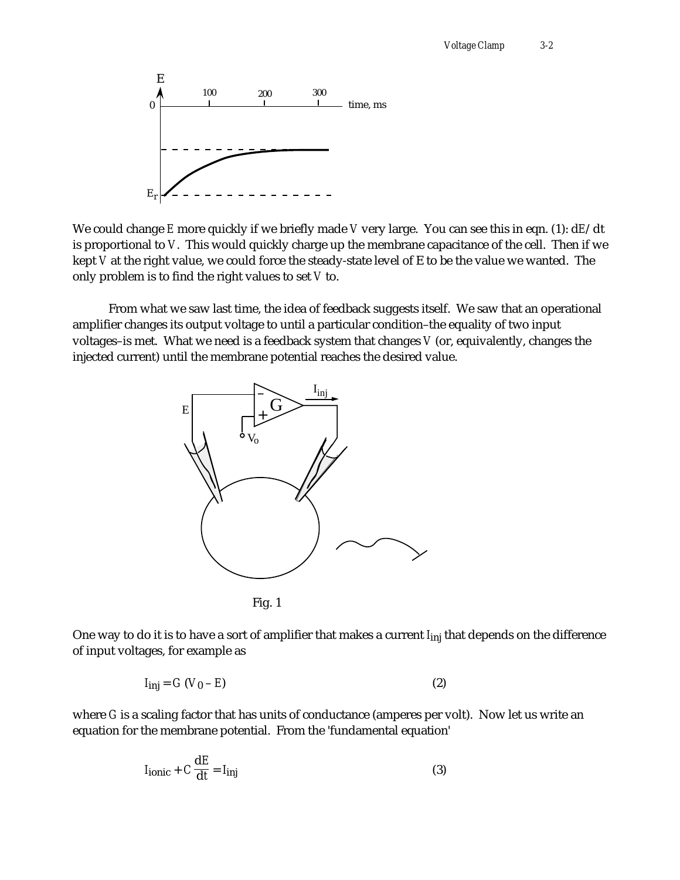

We could change *E* more quickly if we briefly made *V* very large. You can see this in eqn. (1): d*E*/dt is proportional to *V*. This would quickly charge up the membrane capacitance of the cell. Then if we kept *V* at the right value, we could force the steady-state level of E to be the value we wanted. The only problem is to find the right values to set *V* to.

From what we saw last time, the idea of feedback suggests itself. We saw that an operational amplifier changes its output voltage to until a particular condition–the equality of two input voltages–is met. What we need is a feedback system that changes *V* (or, equivalently, changes the injected current) until the membrane potential reaches the desired value.





One way to do it is to have a sort of amplifier that makes a current *I*<sub>inj</sub> that depends on the difference of input voltages, for example as

$$
I_{\text{inj}} = G \left( V_0 - E \right) \tag{2}
$$

where *G* is a scaling factor that has units of conductance (amperes per volt). Now let us write an equation for the membrane potential. From the 'fundamental equation'

$$
I_{\text{ionic}} + C \frac{\mathrm{d}E}{\mathrm{d}t} = I_{\text{inj}} \tag{3}
$$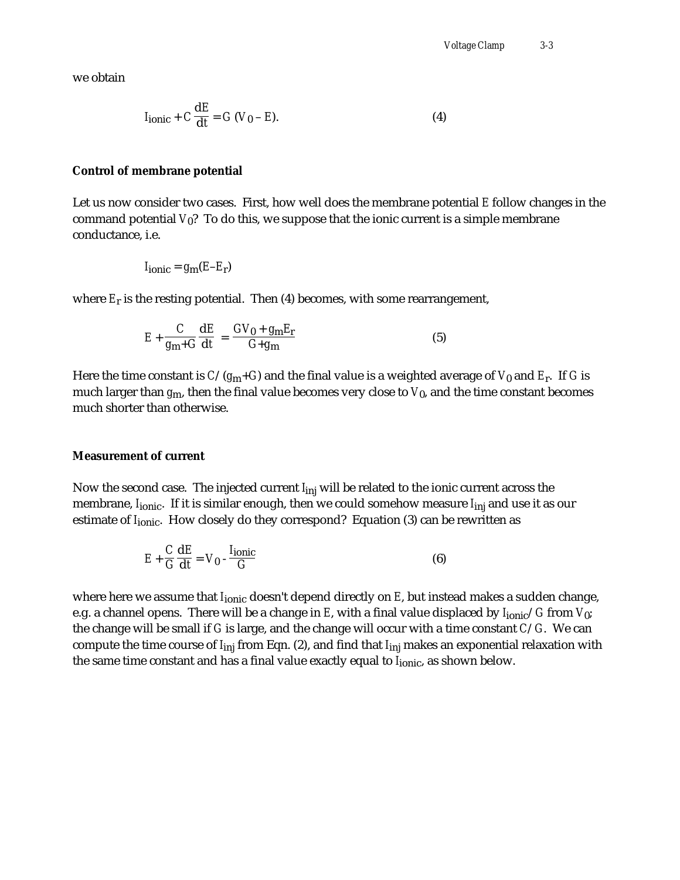we obtain

$$
I_{\text{ionic}} + C \frac{\mathrm{d}E}{\mathrm{d}t} = G (V_0 - E). \tag{4}
$$

#### **Control of membrane potential**

Let us now consider two cases. First, how well does the membrane potential *E* follow changes in the command potential  $V_0$ ? To do this, we suppose that the ionic current is a simple membrane conductance, i.e.

$$
I_{\text{ionic}} = g_{\text{m}}(E - E_{\text{r}})
$$

where *E*r is the resting potential. Then (4) becomes, with some rearrangement,

$$
E + \frac{C}{g_m + G} \frac{dE}{dt} = \frac{GV_0 + g_m E_r}{G + g_m}
$$
 (5)

Here the time constant is *C*/(*g*m+*G*) and the final value is a weighted average of *V*0 and *E*r . If *G* is much larger than *g*m, then the final value becomes very close to *V*0, and the time constant becomes much shorter than otherwise.

#### **Measurement of current**

Now the second case. The injected current *I*inj will be related to the ionic current across the membrane, *I*<sub>ionic</sub>. If it is similar enough, then we could somehow measure *I*<sub>inj</sub> and use it as our estimate of *I*<sub>ionic</sub>. How closely do they correspond? Equation (3) can be rewritten as

$$
E + \frac{C}{G} \frac{dE}{dt} = V_0 - \frac{I_{\text{ionic}}}{G}
$$
 (6)

where here we assume that *I<sub>ionic</sub>* doesn't depend directly on *E*, but instead makes a sudden change, e.g. a channel opens. There will be a change in *E*, with a final value displaced by *I*ionic/*G* from *V*0; the change will be small if *G* is large, and the change will occur with a time constant *C*/*G*. We can compute the time course of *I*inj from Eqn. (2), and find that *I*inj makes an exponential relaxation with the same time constant and has a final value exactly equal to *I*<sub>ionic</sub>, as shown below.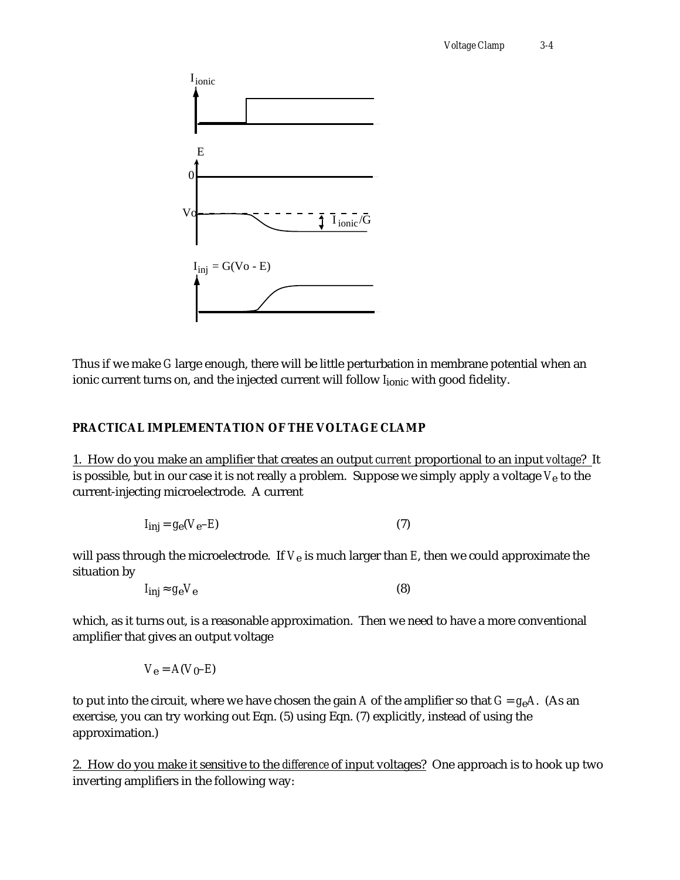

Thus if we make *G* large enough, there will be little perturbation in membrane potential when an ionic current turns on, and the injected current will follow *I*<sub>ionic</sub> with good fidelity.

## **PRACTICAL IMPLEMENTATION OF THE VOLTAGE CLAMP**

1. How do you make an amplifier that creates an output *current* proportional to an input *voltage*? It is possible, but in our case it is not really a problem. Suppose we simply apply a voltage *V*e to the current-injecting microelectrode. A current

$$
I_{\text{inj}} = g_{\text{e}}(V_{\text{e}} - E) \tag{7}
$$

will pass through the microelectrode. If  $V_e$  is much larger than  $E$ , then we could approximate the situation by

$$
I_{\text{inj}} \quad g_{\text{e}} V_{\text{e}} \tag{8}
$$

which, as it turns out, is a reasonable approximation. Then we need to have a more conventional amplifier that gives an output voltage

$$
V_{\mathbf{e}}=A(V_{\mathbf{0}}\text{-}E)
$$

to put into the circuit, where we have chosen the gain *A* of the amplifier so that *G* = *g*e*A*. (As an exercise, you can try working out Eqn. (5) using Eqn. (7) explicitly, instead of using the approximation.)

2. How do you make it sensitive to the *difference* of input voltages? One approach is to hook up two inverting amplifiers in the following way: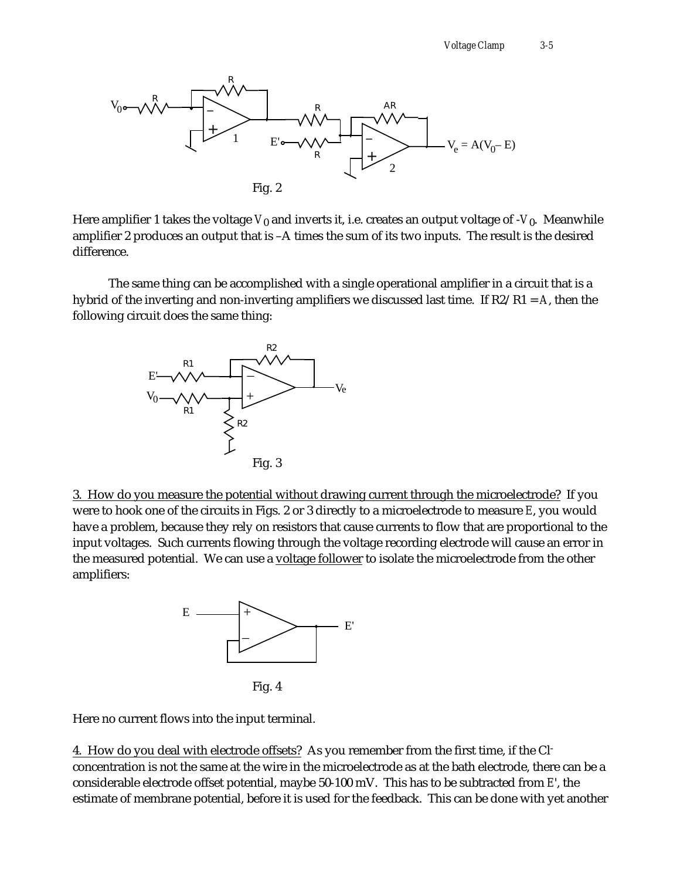

Here amplifier 1 takes the voltage  $V_0$  and inverts it, i.e. creates an output voltage of - $V_0$ . Meanwhile amplifier 2 produces an output that is –A times the sum of its two inputs. The result is the desired difference.

The same thing can be accomplished with a single operational amplifier in a circuit that is a hybrid of the inverting and non-inverting amplifiers we discussed last time. If R2/R1 = *A*, then the following circuit does the same thing:



3. How do you measure the potential without drawing current through the microelectrode? If you were to hook one of the circuits in Figs. 2 or 3 directly to a microelectrode to measure *E*, you would have a problem, because they rely on resistors that cause currents to flow that are proportional to the input voltages. Such currents flowing through the voltage recording electrode will cause an error in the measured potential. We can use a voltage follower to isolate the microelectrode from the other amplifiers:



Fig. 4

Here no current flows into the input terminal.

4. How do you deal with electrode offsets? As you remember from the first time, if the Clconcentration is not the same at the wire in the microelectrode as at the bath electrode, there can be a considerable electrode offset potential, maybe 50-100 mV. This has to be subtracted from *E*', the estimate of membrane potential, before it is used for the feedback. This can be done with yet another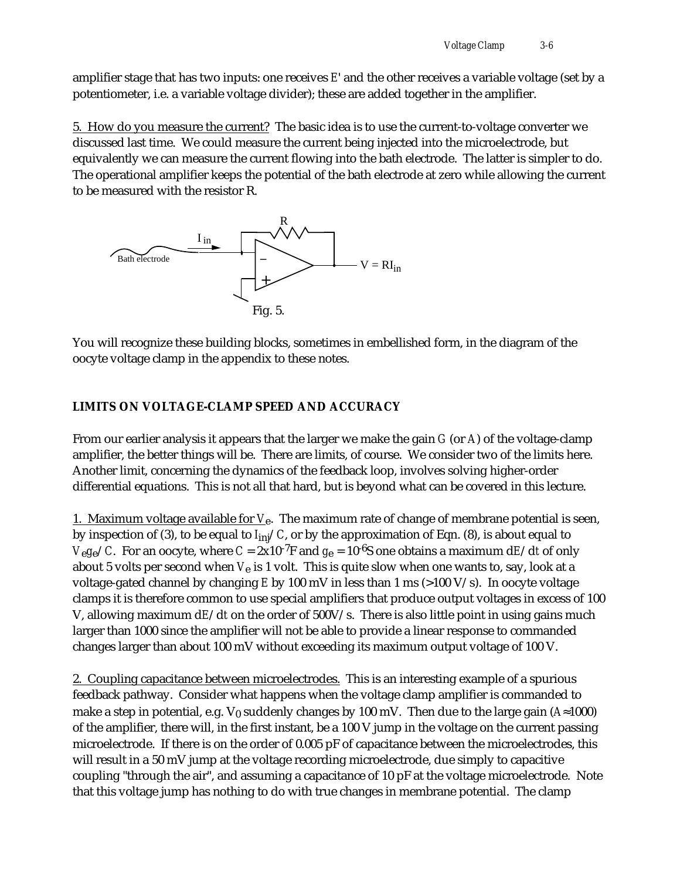amplifier stage that has two inputs: one receives *E*' and the other receives a variable voltage (set by a potentiometer, i.e. a variable voltage divider); these are added together in the amplifier.

5. How do you measure the current? The basic idea is to use the current-to-voltage converter we discussed last time. We could measure the current being injected into the microelectrode, but equivalently we can measure the current flowing into the bath electrode. The latter is simpler to do. The operational amplifier keeps the potential of the bath electrode at zero while allowing the current to be measured with the resistor R.



You will recognize these building blocks, sometimes in embellished form, in the diagram of the oocyte voltage clamp in the appendix to these notes.

## **LIMITS ON VOLTAGE-CLAMP SPEED AND ACCURACY**

From our earlier analysis it appears that the larger we make the gain *G* (or *A*) of the voltage-clamp amplifier, the better things will be. There are limits, of course. We consider two of the limits here. Another limit, concerning the dynamics of the feedback loop, involves solving higher-order differential equations. This is not all that hard, but is beyond what can be covered in this lecture.

1. Maximum voltage available for  $V_e$ . The maximum rate of change of membrane potential is seen, by inspection of (3), to be equal to *I*inj/*C*, or by the approximation of Eqn. (8), is about equal to *V*<sub>e</sub> $g_e$ /*C*. For an oocyte, where *C* = 2x10<sup>-7</sup>F and  $g_e$  = 10<sup>-6</sup>S one obtains a maximum d*E*/d*t* of only about 5 volts per second when *V*e is 1 volt. This is quite slow when one wants to, say, look at a voltage-gated channel by changing *E* by 100 mV in less than 1 ms (>100 V/s). In oocyte voltage clamps it is therefore common to use special amplifiers that produce output voltages in excess of 100 V, allowing maximum d*E*/d*t* on the order of 500V/s. There is also little point in using gains much larger than 1000 since the amplifier will not be able to provide a linear response to commanded changes larger than about 100 mV without exceeding its maximum output voltage of 100 V.

2. Coupling capacitance between microelectrodes. This is an interesting example of a spurious feedback pathway. Consider what happens when the voltage clamp amplifier is commanded to make a step in potential, e.g.  $V_0$  suddenly changes by 100 mV. Then due to the large gain  $(A \ 1000)$ of the amplifier, there will, in the first instant, be a 100 V jump in the voltage on the current passing microelectrode. If there is on the order of 0.005 pF of capacitance between the microelectrodes, this will result in a 50 mV jump at the voltage recording microelectrode, due simply to capacitive coupling "through the air", and assuming a capacitance of 10 pF at the voltage microelectrode. Note that this voltage jump has nothing to do with true changes in membrane potential. The clamp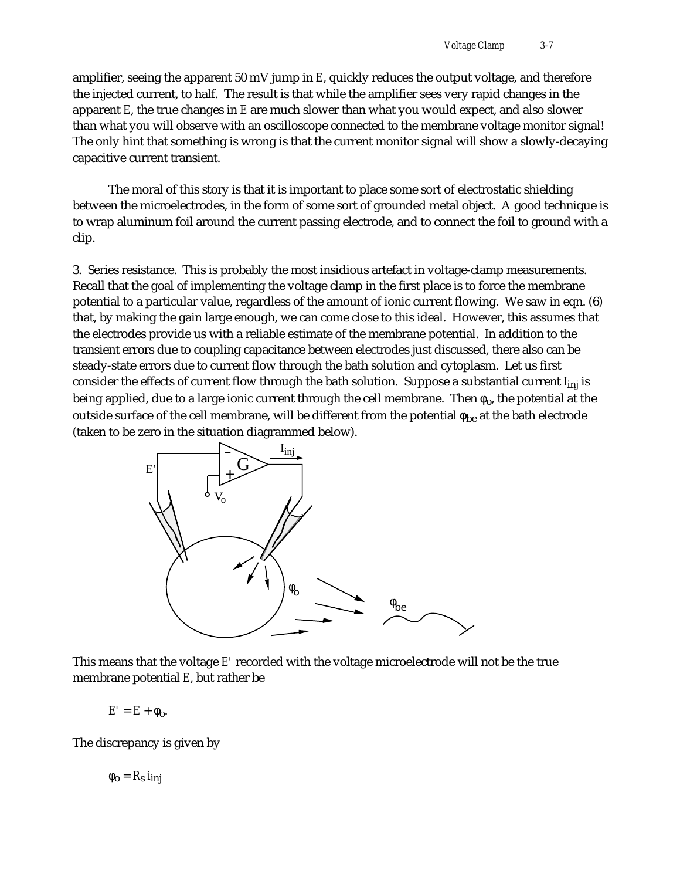amplifier, seeing the apparent 50 mV jump in *E*, quickly reduces the output voltage, and therefore the injected current, to half. The result is that while the amplifier sees very rapid changes in the apparent *E*, the true changes in *E* are much slower than what you would expect, and also slower than what you will observe with an oscilloscope connected to the membrane voltage monitor signal! The only hint that something is wrong is that the current monitor signal will show a slowly-decaying capacitive current transient.

The moral of this story is that it is important to place some sort of electrostatic shielding between the microelectrodes, in the form of some sort of grounded metal object. A good technique is to wrap aluminum foil around the current passing electrode, and to connect the foil to ground with a clip.

3. Series resistance. This is probably the most insidious artefact in voltage-clamp measurements. Recall that the goal of implementing the voltage clamp in the first place is to force the membrane potential to a particular value, regardless of the amount of ionic current flowing. We saw in eqn. (6) that, by making the gain large enough, we can come close to this ideal. However, this assumes that the electrodes provide us with a reliable estimate of the membrane potential. In addition to the transient errors due to coupling capacitance between electrodes just discussed, there also can be steady-state errors due to current flow through the bath solution and cytoplasm. Let us first consider the effects of current flow through the bath solution. Suppose a substantial current *I*inj is being applied, due to a large ionic current through the cell membrane. Then  $_0$ , the potential at the outside surface of the cell membrane, will be different from the potential  $\epsilon_{\text{be}}$  at the bath electrode (taken to be zero in the situation diagrammed below).



This means that the voltage *E'* recorded with the voltage microelectrode will not be the true membrane potential *E*, but rather be

 $E' = E + 0.$ 

The discrepancy is given by

 $o = R_s$  *i*<sub>ini</sub>